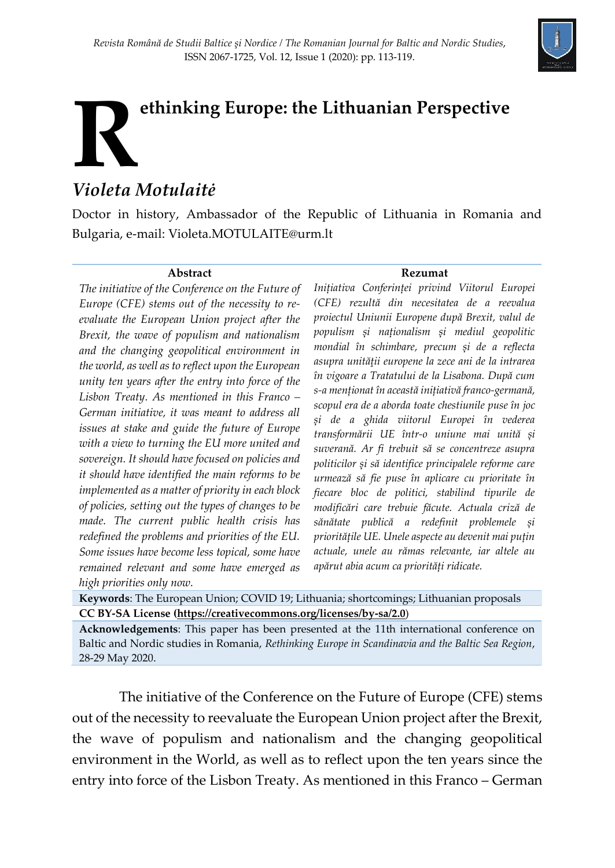

## **ethinking Europe: the Lithuanian Perspective** *Violeta Motulaitė* **R**

Doctor in history, Ambassador of the Republic of Lithuania in Romania and Bulgaria, e-mail: Violeta.MOTULAITE@urm.lt

## **Abstract**

*The initiative of the Conference on the Future of Europe (CFE) stems out of the necessity to reevaluate the European Union project after the Brexit, the wave of populism and nationalism and the changing geopolitical environment in the world, as well as to reflect upon the European unity ten years after the entry into force of the Lisbon Treaty. As mentioned in this Franco – German initiative, it was meant to address all issues at stake and guide the future of Europe with a view to turning the EU more united and sovereign. It should have focused on policies and it should have identified the main reforms to be implemented as a matter of priority in each block of policies, setting out the types of changes to be made. The current public health crisis has redefined the problems and priorities of the EU. Some issues have become less topical, some have remained relevant and some have emerged as high priorities only now.*

## **Rezumat**

*Inițiativa Conferinței privind Viitorul Europei (CFE) rezultă din necesitatea de a reevalua proiectul Uniunii Europene după Brexit, valul de populism și naționalism și mediul geopolitic mondial în schimbare, precum și de a reflecta asupra unităţii europene la zece ani de la intrarea în vigoare a Tratatului de la Lisabona. După cum s-a menționat în această inițiativă franco-germană, scopul era de a aborda toate chestiunile puse în joc și de a ghida viitorul Europei în vederea transformării UE într-o uniune mai unită și suverană. Ar fi trebuit să se concentreze asupra politicilor și să identifice principalele reforme care urmează să fie puse în aplicare cu prioritate în fiecare bloc de politici, stabilind tipurile de modificări care trebuie făcute. Actuala criză de sănătate publică a redefinit problemele și prioritățile UE. Unele aspecte au devenit mai puțin actuale, unele au rămas relevante, iar altele au apărut abia acum ca priorități ridicate.*

**Keywords**: The European Union; COVID 19; Lithuania; shortcomings; Lithuanian proposals **CC BY-SA License [\(https://creativecommons.org/licenses/by-sa/2.0](https://creativecommons.org/licenses/by-sa/2.0)**)

**Acknowledgements**: This paper has been presented at the 11th international conference on Baltic and Nordic studies in Romania, *Rethinking Europe in Scandinavia and the Baltic Sea Region*, 28-29 May 2020.

The initiative of the Conference on the Future of Europe (CFE) stems out of the necessity to reevaluate the European Union project after the Brexit, the wave of populism and nationalism and the changing geopolitical environment in the World, as well as to reflect upon the ten years since the entry into force of the Lisbon Treaty. As mentioned in this Franco – German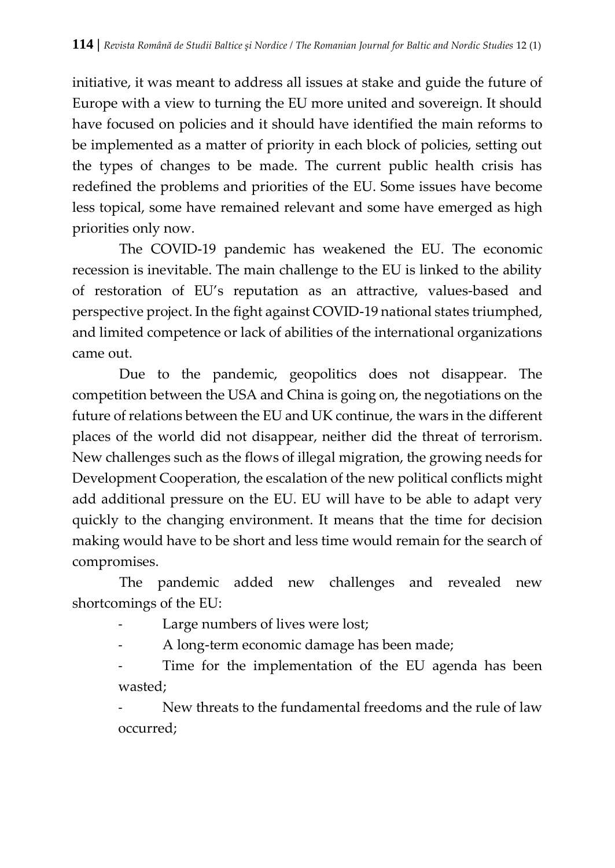initiative, it was meant to address all issues at stake and guide the future of Europe with a view to turning the EU more united and sovereign. It should have focused on policies and it should have identified the main reforms to be implemented as a matter of priority in each block of policies, setting out the types of changes to be made. The current public health crisis has redefined the problems and priorities of the EU. Some issues have become less topical, some have remained relevant and some have emerged as high priorities only now.

The COVID-19 pandemic has weakened the EU. The economic recession is inevitable. The main challenge to the EU is linked to the ability of restoration of EU's reputation as an attractive, values-based and perspective project. In the fight against COVID-19 national states triumphed, and limited competence or lack of abilities of the international organizations came out.

Due to the pandemic, geopolitics does not disappear. The competition between the USA and China is going on, the negotiations on the future of relations between the EU and UK continue, the wars in the different places of the world did not disappear, neither did the threat of terrorism. New challenges such as the flows of illegal migration, the growing needs for Development Cooperation, the escalation of the new political conflicts might add additional pressure on the EU. EU will have to be able to adapt very quickly to the changing environment. It means that the time for decision making would have to be short and less time would remain for the search of compromises.

The pandemic added new challenges and revealed new shortcomings of the EU:

- Large numbers of lives were lost;
- A long-term economic damage has been made;
- Time for the implementation of the EU agenda has been wasted;

New threats to the fundamental freedoms and the rule of law occurred;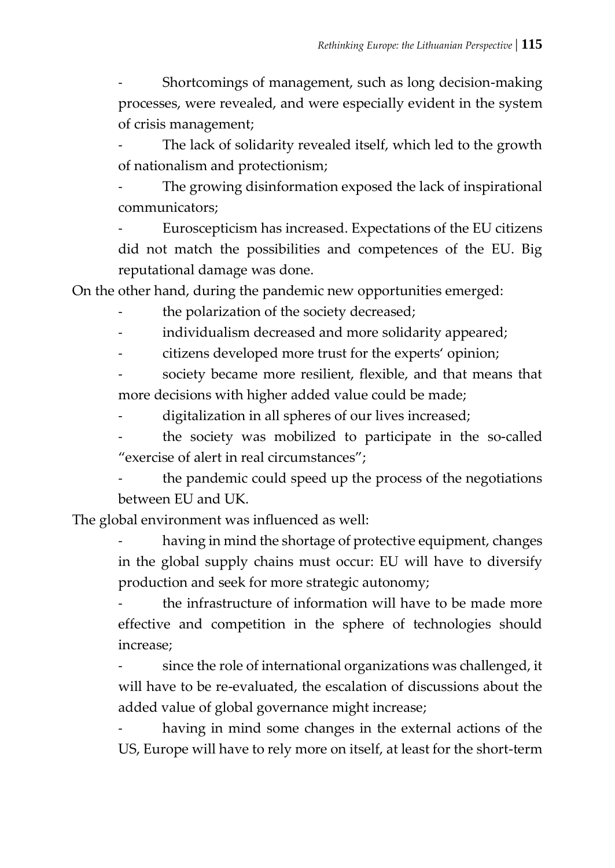- Shortcomings of management, such as long decision-making processes, were revealed, and were especially evident in the system of crisis management;

The lack of solidarity revealed itself, which led to the growth of nationalism and protectionism;

The growing disinformation exposed the lack of inspirational communicators;

- Euroscepticism has increased. Expectations of the EU citizens did not match the possibilities and competences of the EU. Big reputational damage was done.

On the other hand, during the pandemic new opportunities emerged:

the polarization of the society decreased;

- individualism decreased and more solidarity appeared;
- citizens developed more trust for the experts' opinion;

society became more resilient, flexible, and that means that more decisions with higher added value could be made;

digitalization in all spheres of our lives increased;

the society was mobilized to participate in the so-called "exercise of alert in real circumstances";

the pandemic could speed up the process of the negotiations between EU and UK.

The global environment was influenced as well:

having in mind the shortage of protective equipment, changes in the global supply chains must occur: EU will have to diversify production and seek for more strategic autonomy;

the infrastructure of information will have to be made more effective and competition in the sphere of technologies should increase;

since the role of international organizations was challenged, it will have to be re-evaluated, the escalation of discussions about the added value of global governance might increase;

having in mind some changes in the external actions of the US, Europe will have to rely more on itself, at least for the short-term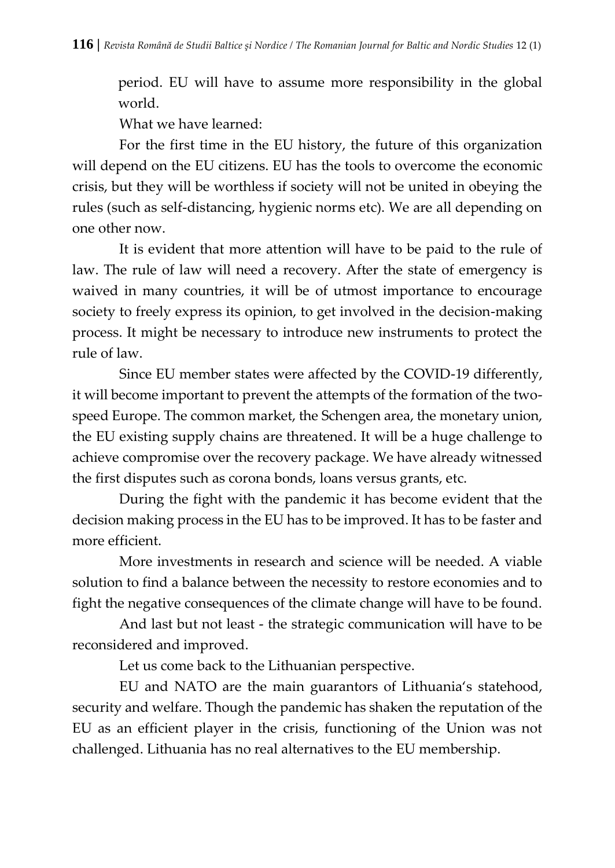period. EU will have to assume more responsibility in the global world.

What we have learned:

For the first time in the EU history, the future of this organization will depend on the EU citizens. EU has the tools to overcome the economic crisis, but they will be worthless if society will not be united in obeying the rules (such as self-distancing, hygienic norms etc). We are all depending on one other now.

It is evident that more attention will have to be paid to the rule of law. The rule of law will need a recovery. After the state of emergency is waived in many countries, it will be of utmost importance to encourage society to freely express its opinion, to get involved in the decision-making process. It might be necessary to introduce new instruments to protect the rule of law.

Since EU member states were affected by the COVID-19 differently, it will become important to prevent the attempts of the formation of the twospeed Europe. The common market, the Schengen area, the monetary union, the EU existing supply chains are threatened. It will be a huge challenge to achieve compromise over the recovery package. We have already witnessed the first disputes such as corona bonds, loans versus grants, etc.

During the fight with the pandemic it has become evident that the decision making process in the EU has to be improved. It has to be faster and more efficient.

More investments in research and science will be needed. A viable solution to find a balance between the necessity to restore economies and to fight the negative consequences of the climate change will have to be found.

And last but not least - the strategic communication will have to be reconsidered and improved.

Let us come back to the Lithuanian perspective.

EU and NATO are the main guarantors of Lithuania's statehood, security and welfare. Though the pandemic has shaken the reputation of the EU as an efficient player in the crisis, functioning of the Union was not challenged. Lithuania has no real alternatives to the EU membership.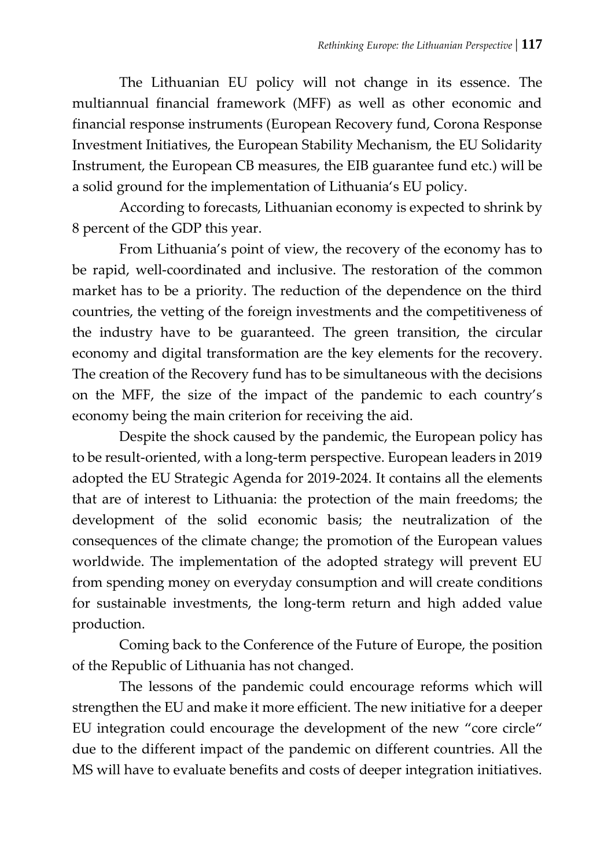The Lithuanian EU policy will not change in its essence. The multiannual financial framework (MFF) as well as other economic and financial response instruments (European Recovery fund, Corona Response Investment Initiatives, the European Stability Mechanism, the EU Solidarity Instrument, the European CB measures, the EIB guarantee fund etc.) will be a solid ground for the implementation of Lithuania's EU policy.

According to forecasts, Lithuanian economy is expected to shrink by 8 percent of the GDP this year.

From Lithuania's point of view, the recovery of the economy has to be rapid, well-coordinated and inclusive. The restoration of the common market has to be a priority. The reduction of the dependence on the third countries, the vetting of the foreign investments and the competitiveness of the industry have to be guaranteed. The green transition, the circular economy and digital transformation are the key elements for the recovery. The creation of the Recovery fund has to be simultaneous with the decisions on the MFF, the size of the impact of the pandemic to each country's economy being the main criterion for receiving the aid.

Despite the shock caused by the pandemic, the European policy has to be result-oriented, with a long-term perspective. European leaders in 2019 adopted the EU Strategic Agenda for 2019-2024. It contains all the elements that are of interest to Lithuania: the protection of the main freedoms; the development of the solid economic basis; the neutralization of the consequences of the climate change; the promotion of the European values worldwide. The implementation of the adopted strategy will prevent EU from spending money on everyday consumption and will create conditions for sustainable investments, the long-term return and high added value production.

Coming back to the Conference of the Future of Europe, the position of the Republic of Lithuania has not changed.

The lessons of the pandemic could encourage reforms which will strengthen the EU and make it more efficient. The new initiative for a deeper EU integration could encourage the development of the new "core circle" due to the different impact of the pandemic on different countries. All the MS will have to evaluate benefits and costs of deeper integration initiatives.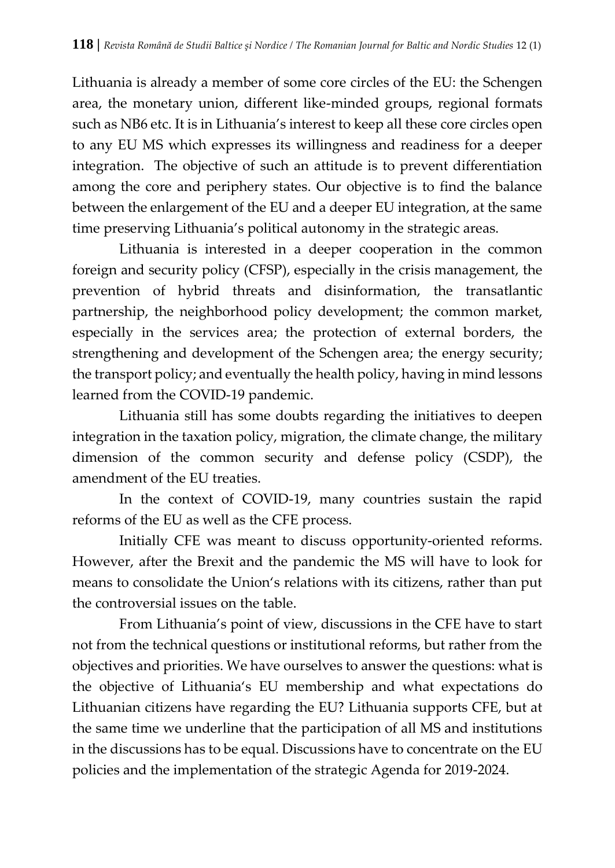Lithuania is already a member of some core circles of the EU: the Schengen area, the monetary union, different like-minded groups, regional formats such as NB6 etc. It is in Lithuania's interest to keep all these core circles open to any EU MS which expresses its willingness and readiness for a deeper integration. The objective of such an attitude is to prevent differentiation among the core and periphery states. Our objective is to find the balance between the enlargement of the EU and a deeper EU integration, at the same time preserving Lithuania's political autonomy in the strategic areas.

Lithuania is interested in a deeper cooperation in the common foreign and security policy (CFSP), especially in the crisis management, the prevention of hybrid threats and disinformation, the transatlantic partnership, the neighborhood policy development; the common market, especially in the services area; the protection of external borders, the strengthening and development of the Schengen area; the energy security; the transport policy; and eventually the health policy, having in mind lessons learned from the COVID-19 pandemic.

Lithuania still has some doubts regarding the initiatives to deepen integration in the taxation policy, migration, the climate change, the military dimension of the common security and defense policy (CSDP), the amendment of the EU treaties.

In the context of COVID-19, many countries sustain the rapid reforms of the EU as well as the CFE process.

Initially CFE was meant to discuss opportunity-oriented reforms. However, after the Brexit and the pandemic the MS will have to look for means to consolidate the Union's relations with its citizens, rather than put the controversial issues on the table.

From Lithuania's point of view, discussions in the CFE have to start not from the technical questions or institutional reforms, but rather from the objectives and priorities. We have ourselves to answer the questions: what is the objective of Lithuania's EU membership and what expectations do Lithuanian citizens have regarding the EU? Lithuania supports CFE, but at the same time we underline that the participation of all MS and institutions in the discussions has to be equal. Discussions have to concentrate on the EU policies and the implementation of the strategic Agenda for 2019-2024.